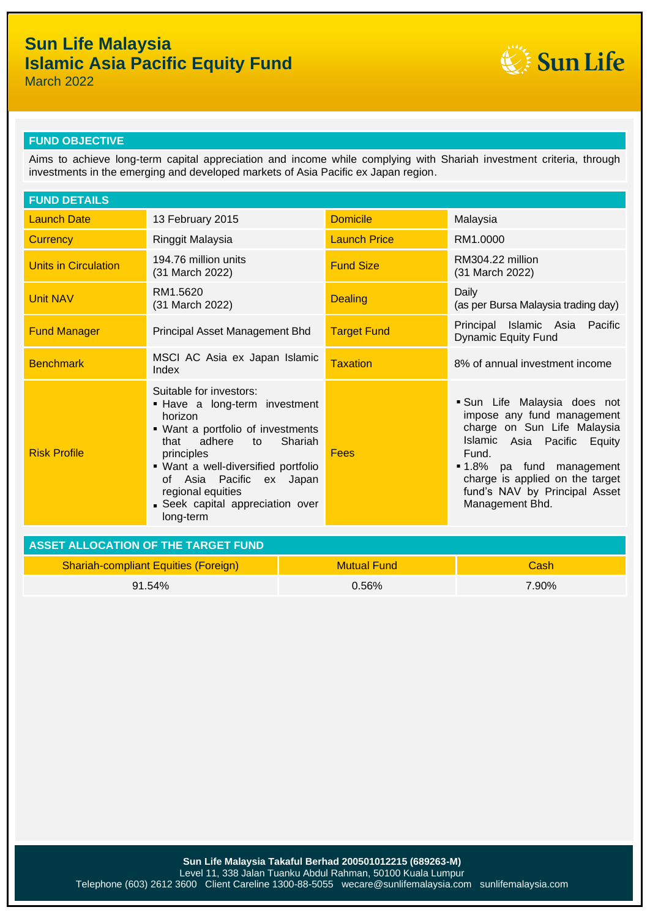

March 2022

### **FUND OBJECTIVE**

Aims to achieve long-term capital appreciation and income while complying with Shariah investment criteria, through investments in the emerging and developed markets of Asia Pacific ex Japan region.

| <b>FUND DETAILS</b>                         |                                                                                                                                                                                                                                                                                                  |       |                     |                                                                                                                                                                                                                                                     |  |
|---------------------------------------------|--------------------------------------------------------------------------------------------------------------------------------------------------------------------------------------------------------------------------------------------------------------------------------------------------|-------|---------------------|-----------------------------------------------------------------------------------------------------------------------------------------------------------------------------------------------------------------------------------------------------|--|
| <b>Launch Date</b>                          | 13 February 2015                                                                                                                                                                                                                                                                                 |       | <b>Domicile</b>     | Malaysia                                                                                                                                                                                                                                            |  |
| <b>Currency</b>                             | Ringgit Malaysia                                                                                                                                                                                                                                                                                 |       | <b>Launch Price</b> | RM1.0000                                                                                                                                                                                                                                            |  |
| <b>Units in Circulation</b>                 | 194.76 million units<br>(31 March 2022)                                                                                                                                                                                                                                                          |       | <b>Fund Size</b>    | RM304.22 million<br>(31 March 2022)                                                                                                                                                                                                                 |  |
| <b>Unit NAV</b>                             | RM1.5620<br>(31 March 2022)                                                                                                                                                                                                                                                                      |       | <b>Dealing</b>      | Daily<br>(as per Bursa Malaysia trading day)                                                                                                                                                                                                        |  |
| <b>Fund Manager</b>                         | Principal Asset Management Bhd                                                                                                                                                                                                                                                                   |       | <b>Target Fund</b>  | Principal Islamic Asia Pacific<br><b>Dynamic Equity Fund</b>                                                                                                                                                                                        |  |
| <b>Benchmark</b>                            | MSCI AC Asia ex Japan Islamic<br>Index                                                                                                                                                                                                                                                           |       | <b>Taxation</b>     | 8% of annual investment income                                                                                                                                                                                                                      |  |
| <b>Risk Profile</b>                         | Suitable for investors:<br>- Have a long-term investment<br>horizon<br>• Want a portfolio of investments<br>Shariah<br>adhere<br>that<br>to<br>principles<br>· Want a well-diversified portfolio<br>of Asia Pacific ex Japan<br>regional equities<br>Seek capital appreciation over<br>long-term |       | <b>Fees</b>         | Sun Life Malaysia does not<br>impose any fund management<br>charge on Sun Life Malaysia<br>Islamic Asia Pacific Equity<br>Fund.<br>■ 1.8% pa fund management<br>charge is applied on the target<br>fund's NAV by Principal Asset<br>Management Bhd. |  |
| <b>ASSET ALLOCATION OF THE TARGET FUND</b>  |                                                                                                                                                                                                                                                                                                  |       |                     |                                                                                                                                                                                                                                                     |  |
| <b>Shariah-compliant Equities (Foreign)</b> |                                                                                                                                                                                                                                                                                                  |       | <b>Mutual Fund</b>  | Cash                                                                                                                                                                                                                                                |  |
| 91.54%                                      |                                                                                                                                                                                                                                                                                                  | 0.56% |                     | 7.90%                                                                                                                                                                                                                                               |  |
|                                             |                                                                                                                                                                                                                                                                                                  |       |                     |                                                                                                                                                                                                                                                     |  |

**Sun Life Malaysia Takaful Berhad 200501012215 (689263-M)** Level 11, 338 Jalan Tuanku Abdul Rahman, 50100 Kuala Lumpur Telephone (603) 2612 3600 Client Careline 1300-88-5055 wecare@sunlifemalaysia.com sunlifemalaysia.com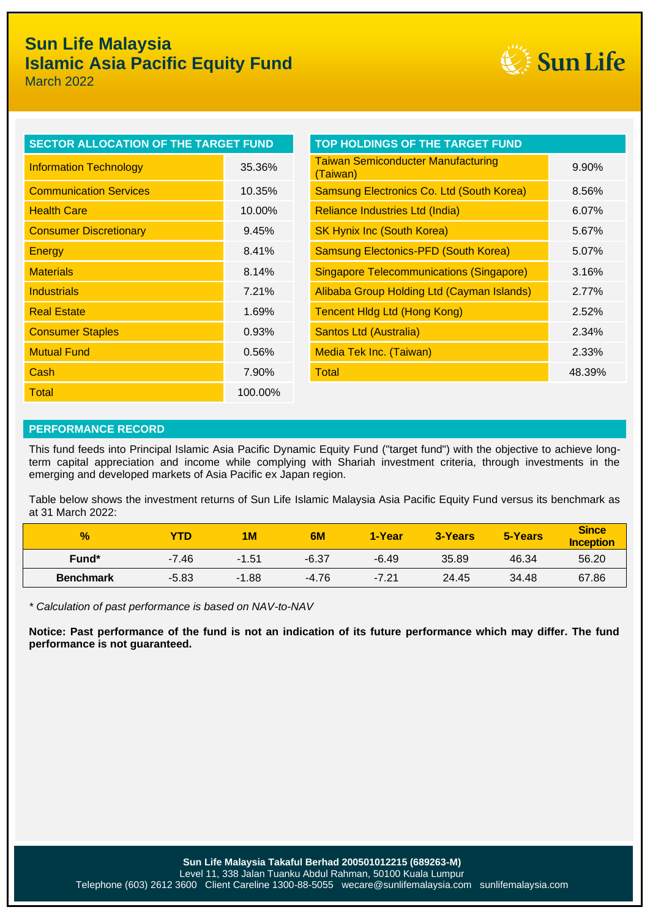

March 2022

| SECTOR ALLOCATION OF THE TARGET FUND |                                                       |  |
|--------------------------------------|-------------------------------------------------------|--|
| 35.36%                               | <b>Taiwan Semiconducter Manufacturing</b><br>(Taiwan) |  |
| 10.35%                               | Samsung Electronics Co. Ltd (South Korea              |  |
| 10.00%                               | Reliance Industries Ltd (India)                       |  |
| 9.45%                                | <b>SK Hynix Inc (South Korea)</b>                     |  |
| 8.41%                                | <b>Samsung Electonics-PFD (South Korea)</b>           |  |
| 8.14%                                | <b>Singapore Telecommunications (Singapore</b>        |  |
| 7.21%                                | Alibaba Group Holding Ltd (Cayman Island              |  |
| 1.69%                                | <b>Tencent Hidg Ltd (Hong Kong)</b>                   |  |
| 0.93%                                | <b>Santos Ltd (Australia)</b>                         |  |
| 0.56%                                | Media Tek Inc. (Taiwan)                               |  |
| 7.90%                                | Total                                                 |  |
| 100.00%                              |                                                       |  |
|                                      |                                                       |  |

| <b>SECTOR ALLOCATION OF THE TARGET FUND</b> |        | <b>TOP HOLDINGS OF THE TARGET FUND</b>                |        |
|---------------------------------------------|--------|-------------------------------------------------------|--------|
| <b>Information Technology</b>               | 35.36% | <b>Taiwan Semiconducter Manufacturing</b><br>(Taiwan) | 9.90%  |
| <b>Communication Services</b>               | 10.35% | Samsung Electronics Co. Ltd (South Korea)             | 8.56%  |
| <b>Health Care</b>                          | 10.00% | Reliance Industries Ltd (India)                       | 6.07%  |
| <b>Consumer Discretionary</b>               | 9.45%  | <b>SK Hynix Inc (South Korea)</b>                     | 5.67%  |
| Energy                                      | 8.41%  | <b>Samsung Electonics-PFD (South Korea)</b>           | 5.07%  |
| <b>Materials</b>                            | 8.14%  | <b>Singapore Telecommunications (Singapore)</b>       | 3.16%  |
| <b>Industrials</b>                          | 7.21%  | Alibaba Group Holding Ltd (Cayman Islands)            | 2.77%  |
| <b>Real Estate</b>                          | 1.69%  | <b>Tencent Hidg Ltd (Hong Kong)</b>                   | 2.52%  |
| <b>Consumer Staples</b>                     | 0.93%  | <b>Santos Ltd (Australia)</b>                         | 2.34%  |
| <b>Mutual Fund</b>                          | 0.56%  | <b>Media Tek Inc. (Taiwan)</b>                        | 2.33%  |
| Cash                                        | 7.90%  | Total                                                 | 48.39% |

#### **PERFORMANCE RECORD**

This fund feeds into Principal Islamic Asia Pacific Dynamic Equity Fund ("target fund") with the objective to achieve longterm capital appreciation and income while complying with Shariah investment criteria, through investments in the emerging and developed markets of Asia Pacific ex Japan region.

Table below shows the investment returns of Sun Life Islamic Malaysia Asia Pacific Equity Fund versus its benchmark as at 31 March 2022:

| $\frac{1}{2}$     | <b>YTD</b> | 1M      | 6M      | 1-Year  | 3-Years | 5-Years | <b>Since</b><br>Inception |
|-------------------|------------|---------|---------|---------|---------|---------|---------------------------|
| Fund <sup>*</sup> | $-7.46$    | $-1.51$ | $-6.37$ | $-6.49$ | 35.89   | 46.34   | 56.20                     |
| <b>Benchmark</b>  | $-5.83$    | $-1.88$ | $-4.76$ | $-7.21$ | 24.45   | 34.48   | 67.86                     |

*\* Calculation of past performance is based on NAV-to-NAV*

**Notice: Past performance of the fund is not an indication of its future performance which may differ. The fund performance is not guaranteed.**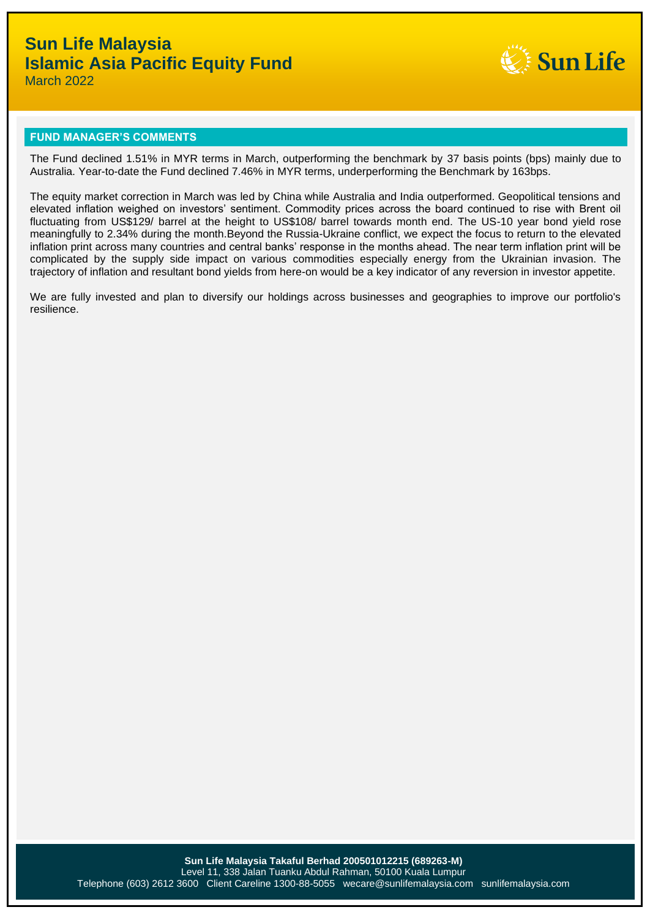

March 2022

### **FUND MANAGER'S COMMENTS**

The Fund declined 1.51% in MYR terms in March, outperforming the benchmark by 37 basis points (bps) mainly due to Australia. Year-to-date the Fund declined 7.46% in MYR terms, underperforming the Benchmark by 163bps.

The equity market correction in March was led by China while Australia and India outperformed. Geopolitical tensions and elevated inflation weighed on investors' sentiment. Commodity prices across the board continued to rise with Brent oil fluctuating from US\$129/ barrel at the height to US\$108/ barrel towards month end. The US-10 year bond yield rose meaningfully to 2.34% during the month.Beyond the Russia-Ukraine conflict, we expect the focus to return to the elevated inflation print across many countries and central banks' response in the months ahead. The near term inflation print will be complicated by the supply side impact on various commodities especially energy from the Ukrainian invasion. The trajectory of inflation and resultant bond yields from here-on would be a key indicator of any reversion in investor appetite.

We are fully invested and plan to diversify our holdings across businesses and geographies to improve our portfolio's resilience.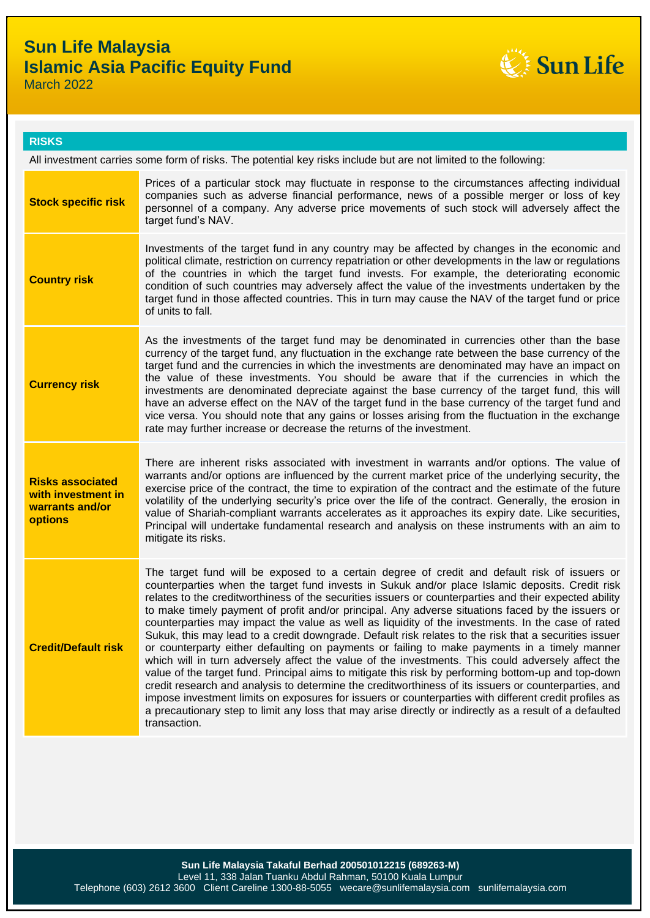

### **RISKS**

All investment carries some form of risks. The potential key risks include but are not limited to the following:

| <b>Stock specific risk</b>                                                         | Prices of a particular stock may fluctuate in response to the circumstances affecting individual<br>companies such as adverse financial performance, news of a possible merger or loss of key<br>personnel of a company. Any adverse price movements of such stock will adversely affect the<br>target fund's NAV.                                                                                                                                                                                                                                                                                                                                                                                                                                                                                                                                                                                                                                                                                                                                                                                                                                                                                                                                                                   |
|------------------------------------------------------------------------------------|--------------------------------------------------------------------------------------------------------------------------------------------------------------------------------------------------------------------------------------------------------------------------------------------------------------------------------------------------------------------------------------------------------------------------------------------------------------------------------------------------------------------------------------------------------------------------------------------------------------------------------------------------------------------------------------------------------------------------------------------------------------------------------------------------------------------------------------------------------------------------------------------------------------------------------------------------------------------------------------------------------------------------------------------------------------------------------------------------------------------------------------------------------------------------------------------------------------------------------------------------------------------------------------|
| <b>Country risk</b>                                                                | Investments of the target fund in any country may be affected by changes in the economic and<br>political climate, restriction on currency repatriation or other developments in the law or regulations<br>of the countries in which the target fund invests. For example, the deteriorating economic<br>condition of such countries may adversely affect the value of the investments undertaken by the<br>target fund in those affected countries. This in turn may cause the NAV of the target fund or price<br>of units to fall.                                                                                                                                                                                                                                                                                                                                                                                                                                                                                                                                                                                                                                                                                                                                                 |
| <b>Currency risk</b>                                                               | As the investments of the target fund may be denominated in currencies other than the base<br>currency of the target fund, any fluctuation in the exchange rate between the base currency of the<br>target fund and the currencies in which the investments are denominated may have an impact on<br>the value of these investments. You should be aware that if the currencies in which the<br>investments are denominated depreciate against the base currency of the target fund, this will<br>have an adverse effect on the NAV of the target fund in the base currency of the target fund and<br>vice versa. You should note that any gains or losses arising from the fluctuation in the exchange<br>rate may further increase or decrease the returns of the investment.                                                                                                                                                                                                                                                                                                                                                                                                                                                                                                      |
| <b>Risks associated</b><br>with investment in<br>warrants and/or<br><b>options</b> | There are inherent risks associated with investment in warrants and/or options. The value of<br>warrants and/or options are influenced by the current market price of the underlying security, the<br>exercise price of the contract, the time to expiration of the contract and the estimate of the future<br>volatility of the underlying security's price over the life of the contract. Generally, the erosion in<br>value of Shariah-compliant warrants accelerates as it approaches its expiry date. Like securities,<br>Principal will undertake fundamental research and analysis on these instruments with an aim to<br>mitigate its risks.                                                                                                                                                                                                                                                                                                                                                                                                                                                                                                                                                                                                                                 |
| <b>Credit/Default risk</b>                                                         | The target fund will be exposed to a certain degree of credit and default risk of issuers or<br>counterparties when the target fund invests in Sukuk and/or place Islamic deposits. Credit risk<br>relates to the creditworthiness of the securities issuers or counterparties and their expected ability<br>to make timely payment of profit and/or principal. Any adverse situations faced by the issuers or<br>counterparties may impact the value as well as liquidity of the investments. In the case of rated<br>Sukuk, this may lead to a credit downgrade. Default risk relates to the risk that a securities issuer<br>or counterparty either defaulting on payments or failing to make payments in a timely manner<br>which will in turn adversely affect the value of the investments. This could adversely affect the<br>value of the target fund. Principal aims to mitigate this risk by performing bottom-up and top-down<br>credit research and analysis to determine the creditworthiness of its issuers or counterparties, and<br>impose investment limits on exposures for issuers or counterparties with different credit profiles as<br>a precautionary step to limit any loss that may arise directly or indirectly as a result of a defaulted<br>transaction. |